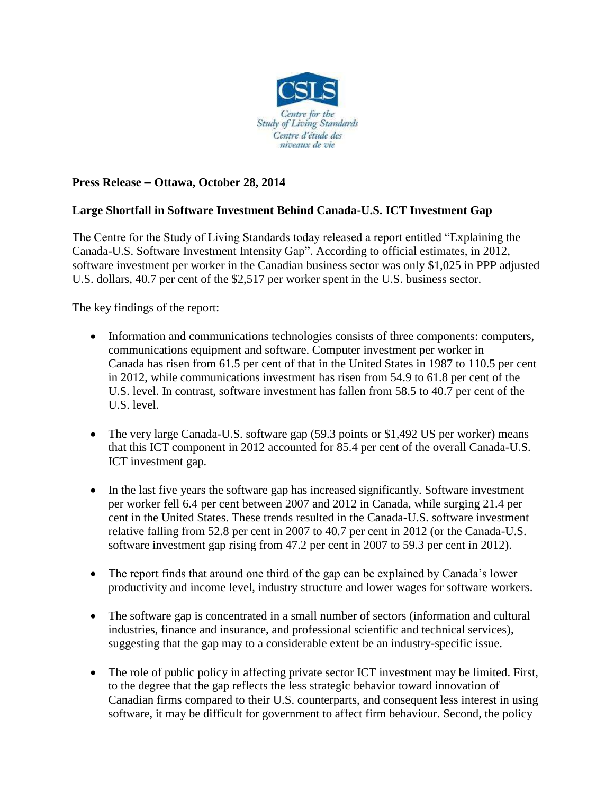

## **Press Release – Ottawa, October 28, 2014**

## **Large Shortfall in Software Investment Behind Canada-U.S. ICT Investment Gap**

The Centre for the Study of Living Standards today released a report entitled "Explaining the Canada-U.S. Software Investment Intensity Gap". According to official estimates, in 2012, software investment per worker in the Canadian business sector was only \$1,025 in PPP adjusted U.S. dollars, 40.7 per cent of the \$2,517 per worker spent in the U.S. business sector.

The key findings of the report:

- Information and communications technologies consists of three components: computers, communications equipment and software. Computer investment per worker in Canada has risen from 61.5 per cent of that in the United States in 1987 to 110.5 per cent in 2012, while communications investment has risen from 54.9 to 61.8 per cent of the U.S. level. In contrast, software investment has fallen from 58.5 to 40.7 per cent of the U.S. level.
- The very large Canada-U.S. software gap (59.3 points or \$1,492 US per worker) means that this ICT component in 2012 accounted for 85.4 per cent of the overall Canada-U.S. ICT investment gap.
- In the last five years the software gap has increased significantly. Software investment per worker fell 6.4 per cent between 2007 and 2012 in Canada, while surging 21.4 per cent in the United States. These trends resulted in the Canada-U.S. software investment relative falling from 52.8 per cent in 2007 to 40.7 per cent in 2012 (or the Canada-U.S. software investment gap rising from 47.2 per cent in 2007 to 59.3 per cent in 2012).
- The report finds that around one third of the gap can be explained by Canada's lower productivity and income level, industry structure and lower wages for software workers.
- The software gap is concentrated in a small number of sectors (information and cultural industries, finance and insurance, and professional scientific and technical services), suggesting that the gap may to a considerable extent be an industry-specific issue.
- The role of public policy in affecting private sector ICT investment may be limited. First, to the degree that the gap reflects the less strategic behavior toward innovation of Canadian firms compared to their U.S. counterparts, and consequent less interest in using software, it may be difficult for government to affect firm behaviour. Second, the policy